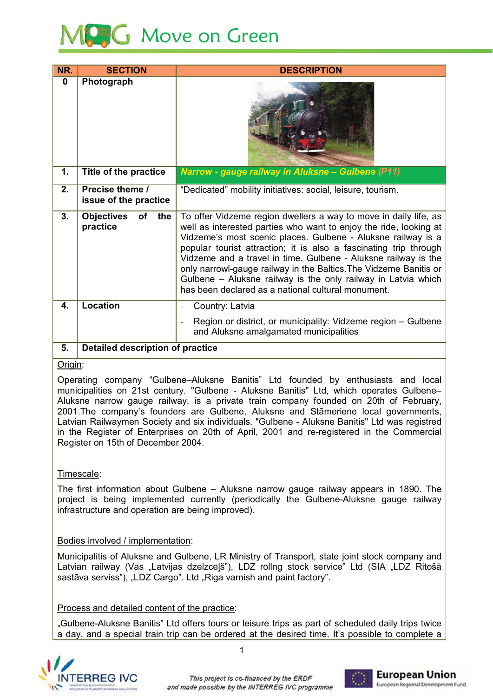

| NR.      | <b>SECTION</b>                                                                                                                                                               | <b>DESCRIPTION</b>                                                                                                                                                                                                                                                                                                                                                                                                                                                                                                                       |  |  |
|----------|------------------------------------------------------------------------------------------------------------------------------------------------------------------------------|------------------------------------------------------------------------------------------------------------------------------------------------------------------------------------------------------------------------------------------------------------------------------------------------------------------------------------------------------------------------------------------------------------------------------------------------------------------------------------------------------------------------------------------|--|--|
| $\bf{0}$ | Photograph                                                                                                                                                                   |                                                                                                                                                                                                                                                                                                                                                                                                                                                                                                                                          |  |  |
| 1.       | Title of the practice                                                                                                                                                        | Narrow - gauge railway in Aluksne - Gulbene (P11)                                                                                                                                                                                                                                                                                                                                                                                                                                                                                        |  |  |
| 2.       | Precise theme /<br>issue of the practice                                                                                                                                     | "Dedicated" mobility initiatives: social, leisure, tourism.                                                                                                                                                                                                                                                                                                                                                                                                                                                                              |  |  |
| 3.       | <b>Objectives</b><br>of the<br>practice                                                                                                                                      | To offer Vidzeme region dwellers a way to move in daily life, as<br>well as interested parties who want to enjoy the ride, looking at<br>Vidzeme's most scenic places. Gulbene - Aluksne railway is a<br>popular tourist attraction; it is also a fascinating trip through<br>Vidzeme and a travel in time. Gulbene - Aluksne railway is the<br>only narrowl-gauge railway in the Baltics. The Vidzeme Banitis or<br>Gulbene - Aluksne railway is the only railway in Latvia which<br>has been declared as a national cultural monument. |  |  |
| 4.       | <b>Location</b>                                                                                                                                                              | Country: Latvia                                                                                                                                                                                                                                                                                                                                                                                                                                                                                                                          |  |  |
|          |                                                                                                                                                                              | Region or district, or municipality: Vidzeme region - Gulbene<br>$\overline{a}$<br>and Aluksne amalgamated municipalities                                                                                                                                                                                                                                                                                                                                                                                                                |  |  |
| 5.       | <b>Detailed description of practice</b>                                                                                                                                      |                                                                                                                                                                                                                                                                                                                                                                                                                                                                                                                                          |  |  |
| Origin:  |                                                                                                                                                                              |                                                                                                                                                                                                                                                                                                                                                                                                                                                                                                                                          |  |  |
|          | Operating company "Gulbene–Aluksne Banitis" Ltd founded by enthusiasts and local<br>municipalities on 21st century. "Gulbene - Aluksne Banitis" Ltd. which operates Gulbene- |                                                                                                                                                                                                                                                                                                                                                                                                                                                                                                                                          |  |  |

## <u>l</u><br>Origin:

and Alukshe amalgamated municipalities<br>
5. Detailed description of practice<br>
Origin:<br>
Operating company "Gulbene-Aluksne Banitis" Ltd founded by enthusiasts and low<br>
municipalities on 21st century. "Gulbene - Aluksne Banit Aluksne narrow gauge railway, is a private train company founded on 20th of February, 2001. The company's founders are Gulbene, Aluksne and Stāmeriene local governments, nitis" Ltd founded by<br>Aluksne Banitis" Ltd, whick<br>train company founded<br>i, Aluksne and Stämerier<br>Is. "Gulbene - Aluksne Ba Origin:<br>
Operating company "Gulbene–Aluksne Banitis" Ltd founded by enthusiasts and loca<br>
municipalities on 21st century. "Gulbene - Aluksne Banitis" Ltd, which operates Gulbene-<br>
Aluksne narrow gauge railway, is a private f<br>ar<br>e<br>ne<br>ne Register on 15th of December 2004. Latvian Railwaymen Society and six individuals. "Guibene - Aluksne Banitis" Ltd was registred<br>
in the Register of Enterprises on 20th of April, 2001 and re-registered in the Commercial<br>
Register on 15th of December 2004.<br> ercial

### <u>I imescale</u>:

in the Register of Enterprises on 20th of April, 2001 and re-registered in the Commercial<br>Register on 15th of December 2004.<br>Timescale:<br>The first information about Gulbene – Aluksne narrow gauge railway appears in 1890. Th project is being implemented currently (periodically the Gulbene-Aluksne gauge railway infrastructure and operation are being improved). information about<br>s being implem<br>ture and operation<br>wolved / impleme<br>litis of Aluksne a

### <u>Bodies involved / implementation</u>:

Latvian railway (Vas "Latvijas dzelzceļš"), LDZ rollng stock service" Ltd (SIA "LDZ Ritošā intrastructure and operation are being improved).<br>Bodies involved / implementation:<br>Municipalitis of Aluksne and Gulbene, LR Ministry of Transport, stat<br>Latvian railway (Vas "Latvijas dzelzceļš"), LDZ rollng stock servi<br>sa Municipalitis of Aluksi<br>Latvian railway (Vas<br>sastāva serviss"), "LD<br><u>Process and detailed</u><br>"Gulbene-Aluksne Ba ne and Guibene, LR Ministry of Transport, state joint stock company and Latvian railway (Vas "Latvijas dzelzcejs"), LDZ roling stock service" Ltd (SIA "LDZ Ritosa

### Process and detailed content of the practice:

"Gulbene-Aluksne Banitis" Ltd offers tours or leisure trips as part of scheduled daily trips twice a day, and a special train trip can be ordered at the desired time. It's possible to complete a

 $\overline{1}$ 



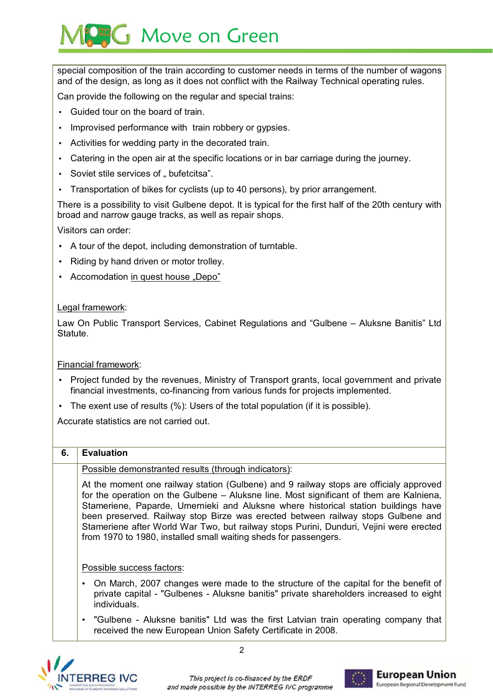# **AG** Move on Green

special composition of the train according to customer needs in terms of the number of wagons and of the design, as long as it does not conflict with the Railway Technical operating rules.

Can provide the following on the regular and special trains:

- Guided tour on the board of train.
- Improvised performance with train robbery or gypsies.
- Activities for wedding party in the decorated train.
- Catering in the open air at the specific locations or in bar carriage during the journey.
- Soviet stile services of " bufetcitsa".
- Transportation of bikes for cyclists (up to 40 persons), by prior arrangement.

There is a possibility to visit Gulbene depot. It is typical for the first half of the 20th century with broad and narrow gauge tracks, as well as repair shops.

Visitors can order:

- A tour of the depot, including demonstration of turntable.
- Riding by hand driven or motor trolley.
- Accomodation in quest house "Depo"

### Legal framework:

Law On Public Transport Services, Cabinet Regulations and "Gulbene - Aluksne Banitis" Ltd Statute.

### **Financial framework:**

- Project funded by the revenues, Ministry of Transport grants, local government and private financial investments, co-financing from various funds for projects implemented.
- The exent use of results (%): Users of the total population (if it is possible).

Accurate statistics are not carried out.

#### 6. **Evaluation**

### Possible demonstranted results (through indicators):

At the moment one railway station (Gulbene) and 9 railway stops are officialy approved for the operation on the Gulbene - Aluksne line. Most significant of them are Kalniena. Stameriene, Paparde, Umernieki and Aluksne where historical station buildings have been preserved. Railway stop Birze was erected between railway stops Gulbene and Stameriene after World War Two, but railway stops Purini, Dunduri, Vejini were erected from 1970 to 1980, installed small waiting sheds for passengers.

Possible success factors:

- On March, 2007 changes were made to the structure of the capital for the benefit of private capital - "Gulbenes - Aluksne banitis" private shareholders increased to eight individuals.
- "Gulbene Aluksne banitis" Ltd was the first Latvian train operating company that received the new European Union Safety Certificate in 2008.